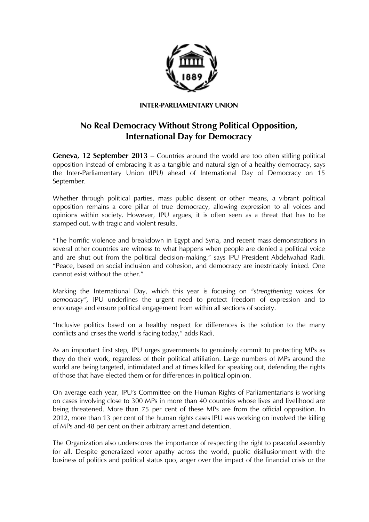

## **INTER-PARLIAMENTARY UNION**

## **No Real Democracy Without Strong Political Opposition, International Day for Democracy**

**Geneva, 12 September 2013** – Countries around the world are too often stifling political opposition instead of embracing it as a tangible and natural sign of a healthy democracy, says the Inter-Parliamentary Union (IPU) ahead of International Day of Democracy on 15 September.

Whether through political parties, mass public dissent or other means, a vibrant political opposition remains a core pillar of true democracy, allowing expression to all voices and opinions within society. However, IPU argues, it is often seen as a threat that has to be stamped out, with tragic and violent results.

"The horrific violence and breakdown in Egypt and Syria, and recent mass demonstrations in several other countries are witness to what happens when people are denied a political voice and are shut out from the political decision-making," says IPU President Abdelwahad Radi. "Peace, based on social inclusion and cohesion, and democracy are inextricably linked. One cannot exist without the other."

Marking the International Day, which this year is focusing on "*strengthening voices for democracy",* IPU underlines the urgent need to protect freedom of expression and to encourage and ensure political engagement from within all sections of society.

"Inclusive politics based on a healthy respect for differences is the solution to the many conflicts and crises the world is facing today," adds Radi.

As an important first step, IPU urges governments to genuinely commit to protecting MPs as they do their work, regardless of their political affiliation. Large numbers of MPs around the world are being targeted, intimidated and at times killed for speaking out, defending the rights of those that have elected them or for differences in political opinion.

On average each year, IPU's Committee on the Human Rights of Parliamentarians is working on cases involving close to 300 MPs in more than 40 countries whose lives and livelihood are being threatened. More than 75 per cent of these MPs are from the official opposition. In 2012, more than 13 per cent of the human rights cases IPU was working on involved the killing of MPs and 48 per cent on their arbitrary arrest and detention.

The Organization also underscores the importance of respecting the right to peaceful assembly for all. Despite generalized voter apathy across the world, public disillusionment with the business of politics and political status quo, anger over the impact of the financial crisis or the